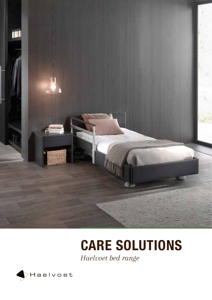

# CARE SOLUTIONS

*Haelvoet bed range*

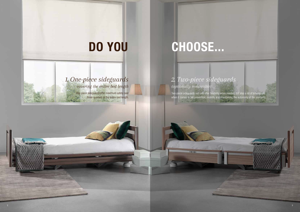# DO YOU

## *1. One-piece sideguards*

*covering the entire bed length*

One-piece sideguards offer maximum safety over three-quarters or the entire bed length. SALOS AND A

# CHOOSE...

Two-piece sideguards not only offer flexibility when needed, but also a lot of advantages when it comes to fall prevention, mobility and maintaining the autonomy of the residents.



### *2. Two-piece sideguards (optionally removable)*

 $-0$  ET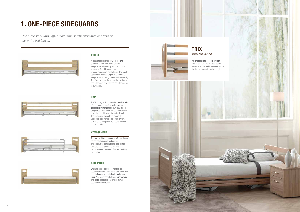*One-piece sideguards offer maximum safety over three-quarters or the entire bed length.*



### POLLUX

A guaranteed distance between the two siderails makes sure that the Pollux sideguards easily comply with the strictest standards. The sideguards can only be lowered by using your both hands. This safety system has been developed to prevent the sideguards from being lowered unintentionally. The Pollux sideguards can also be used with bed extensions, provided that an extension set is purchased.

### **TRIX**





An integrated telescopic system makes sure that the Trix sideguards the bed sides over the entire length.

The Trix sideguards consist of three siderails, offering maximum safety. An integrated telescopic system makes sure that the Trix sideguards - even when the bed is extended cover the bed sides over the entire length. The sideguards can only be lowered by using your both hands. This safety system prevents the sideguards from being lowered unintentionally.

### ATMOSPHERE

The Atmosphère sideguards offer maximum patient safety in each bed position. The sideguards constitute one unit, protect the patient over 3/4 of the bed length and can be lowered by means of an easy locking mechanism.

# 1. ONE-PIECE SIDEGUARDS

### SIDE PANEL



When no side protection is wanted, it is possible to opt for a one-piece side panel that is upholstered or coated with melamine resin. You can choose between a removable or a fixed side panel. The choice always applies to the entire bed.



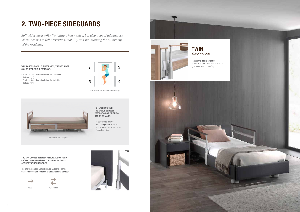*Split sideguards offer flexibility when needed, but also a lot of advantages when it comes to fall prevention, mobility and maintaining the autonomy of the residents.*

# 2. TWO-PIECE SIDEGUARDS



YOU CAN CHOOSE BETWEEN REMOVABLE OR FIXED PROTECTION OR FINISHING. THIS CHOICE ALWAYS APPLIES TO THE ENTIRE BED.







The interchangeable Twin sideguards and panels can be easily removed and replaced without needing any tools.



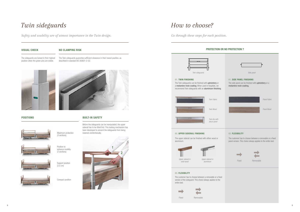

Removable



Fixed

**COL** 

PROTECTION OR NO PROTECTION ?

The Twin sideguards can be finished with upholstery or a melamine resin coating. When used in hospitals, we recommend Twin sideguards with an aluminium finishing.

# *Twin sideguards Side panel* 01. TWIN FINISHING 01. SIDE PANEL FINISHING The side panel can be finished with upholstery or a melamine resin coating. *Panel Fabric Panel Wood* 02. FLEXIBILITY The customer has to choose between a removable or a fixed panel version. This choice always applies to the entire bed. Fixed Removable







*solid wood*

*Upper siderail in aluminium*

The customer has to choose between a removable or a fixed version of the sideguard. This choice always applies to the entire bed.



The upper siderail can be finished with either wood or aluminium.

### *How to choose?*

*Go through these steps for each position.*

#### 02. UPPER SIDERAIL FINISHING

#### 03. FLEXIBILITY

## *Twin sideguards*

*Safety and usability are of utmost importance in the Twin design.* 

Maximum protection (3 sections)



#### VISUAL CHECK

The sideguards are locked in their highest position when the green pins are visible.

#### NO CLAMPING RISK

The Twin sideguards guarantee sufficient clearance in their lowest position, as described in standard IEC 60601-2-52.





BUILT-IN SAFETY

Before the sideguards can be manipulated, the upper siderail has to be lifted first. This locking mechanism has been developed to prevent the sideguards from being



lowered unintentionally.

Position to enhance mobility (2 sections)



Compact position

POSITIONS



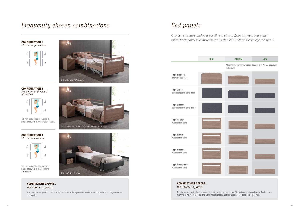



### COMBINATIONS GALORE... *the choice is yours*

The extensive configuration and material possibilities make it possible to create a bed that perfectly meets your wishes and needs.



### *Frequently chosen combinations*

CONFIGURATION 1 *Maximum protection*



Tip: with removable sideguards it is possible to switch to configuration 1 easily.

CONFIGURATION 2

Tip: with removable sideguards it is possible to switch to configurations 1 & 2 easily.

*Protection at the head of the bed*

CONFIGURATION 3

*Maximum cosiness*

*Twin sideguards at positions 1 & 2, side panel at positions 3 & 4.*

*Side panels at all positions.*

## *Bed panels*

*Our bed structure makes it possible to choose from different bed panel types. Each panel is characterised by its clear lines and keen eye for detail.* 



### COMBINATIONS GALORE... *the choice is yours*

The chosen side protection determines the choice of the bed panel type. The foot and head panel can be freely chosen from the above-mentioned options. Combinations of high, medium and low panels are possible as well.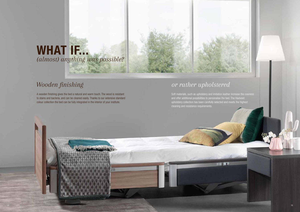## *Wooden finishing or rather upholstered*

Soft materials, such as upholstery and imitation leather increase the cosiness and offer additional possibilities to personalise the bed. The Haelvoet upholstery collection has been carefully selected and meets the highest cleaning and resistance requirements.

A wooden finishing gives the bed a natural and warm touch. The wood is resistant to stains and bacteria, and can be cleaned easily. Thanks to our extensive standard colour collection the bed can be fully integrated in the interior of your institute.



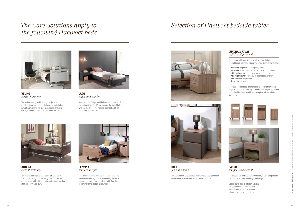#### QUADRA & ATLAS *stylish and practical*

The bedside table can also have a fold-down, heightadjustable and inclinable dinner tray Livia. 6 versions available:

- one-sided: cupboard, open space, drawer
- two-sided: idem one-sided, accessible from both sides
- with refrigerator: refrigerator, open space, drawer
- with high drawer: high drawer, open space, drawer
- low: cupboard and drawer
- **XLow**: two drawers



VELINO *perfect harmony*

The Velino nursing bed is a height-adjustable multifunctional column bed that maximizes both the patient comfort and the user-friendliness. The open carriage is ideal to clean the area under the bed.



LAGO *safety and comfort*

Safety and comfort go hand in hand with Lago bed. A low bed position of  $\pm 25$  cm reduces the risk of falling, whereas the ergonomic working height of  $\pm$  80 cm guarantees efficient care.



ARTENA *elegant certainty*

The Artena nursing bed is a height-adjustable bed that meets the high quality, design and functionality requirements, with which both the patient and nursing staff are confronted daily.

**BASSO** *compact and elegant*



OLYMPIA *comfort in style*

The Olympia nursing bed: tested, durable and safe. An utmost stable high/low adjustment by means of supporting arms combined with a highly functional design make this bed an all-rounder.





**COSI** *feels like home*

The upholstered Cosi bedside table creates a sense of unity with the bed as the materials can be fully matched.

The Atlas bedside table differentiates itself from the Quadra range by its rounded front styles. Fold-down, height-adjustable and inclinable dinner tray Livia as an option. Also available in 6 versions.





The Basso Care bedside table low model, is very compact and matches perfectly with the Lago bed range.

Basso is available in different versions:

- Closed bottom or open bottom
- Upholstered or wooden drawer
- Drawer with or without handle

### *The Care Solutions apply to the following Haelvoet beds*